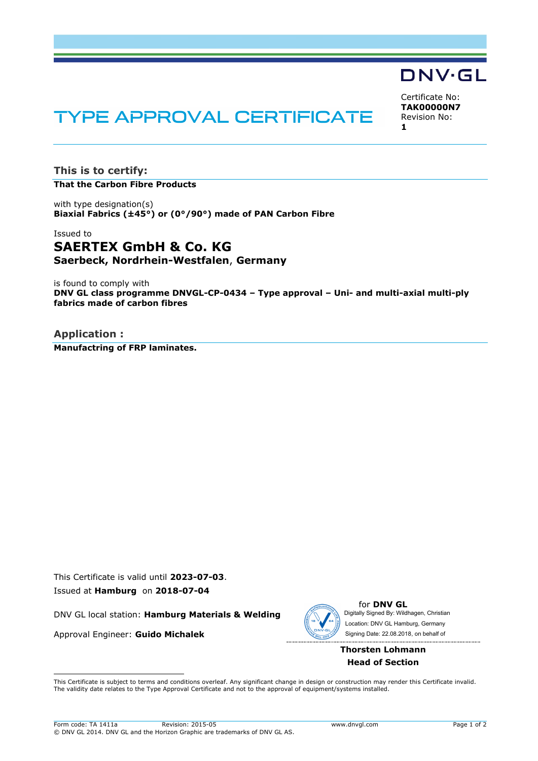# DNV·GL

Certificate No: **TAK00000N7** Revision No: **1**

# **TYPE APPROVAL CERTIFICATE**

**This is to certify: That the Carbon Fibre Products**

with type designation(s) **Biaxial Fabrics (±45°) or (0°/90°) made of PAN Carbon Fibre**

# Issued to **SAERTEX GmbH & Co. KG Saerbeck, Nordrhein-Westfalen**, **Germany**

is found to comply with **DNV GL class programme DNVGL-CP-0434 – Type approval – Uni- and multi-axial multi-ply fabrics made of carbon fibres**

**Application : Manufactring of FRP laminates.**

This Certificate is valid until **2023-07-03**. Issued at **Hamburg** on **2018-07-04**

DNV GL local station: **Hamburg Materials & Welding**

Approval Engineer: **Guido Michalek**



for **DNV GL** Digitally Signed By: Wildhagen, Christian Signing Date: 22.08.2018 , on behalf ofLocation: DNV GL Hamburg, Germany

## **Thorsten Lohmann Head of Section**

 This Certificate is subject to terms and conditions overleaf. Any significant change in design or construction may render this Certificate invalid. The validity date relates to the Type Approval Certificate and not to the approval of equipment/systems installed.